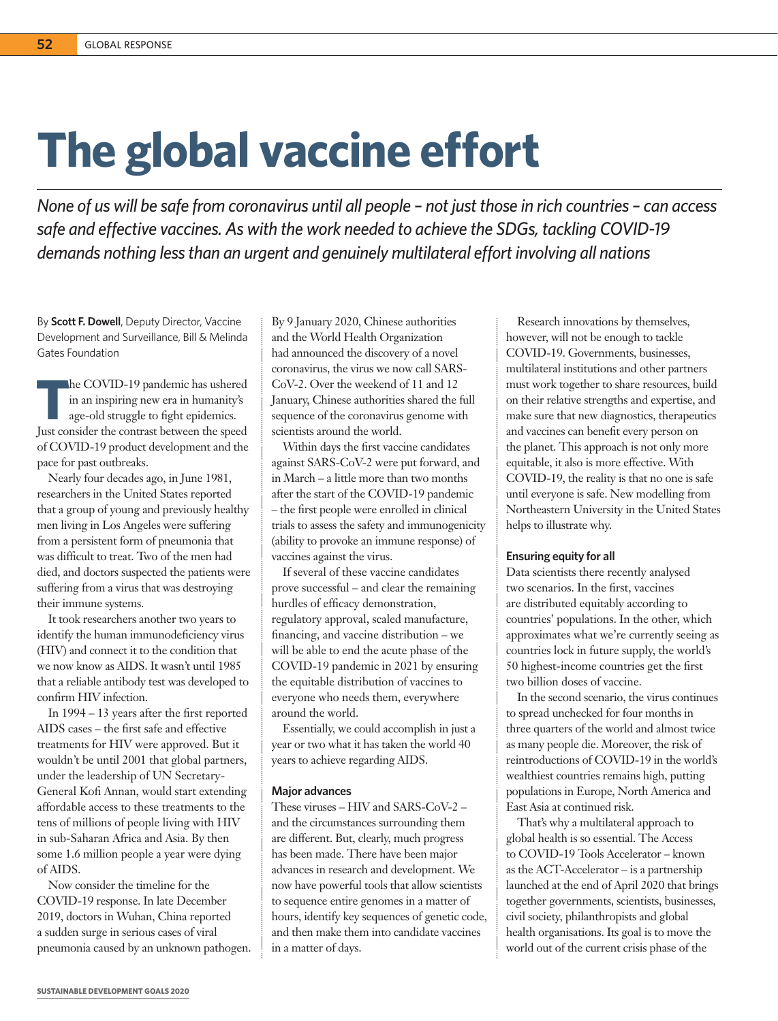## **The global vaccine effort**

*None of us will be safe from coronavirus until all people – not just those in rich countries – can access safe and effective vaccines. As with the work needed to achieve the SDGs, tackling COVID-19 demands nothing less than an urgent and genuinely multilateral effort involving all nations* 

By **Scott F. Dowell**, Deputy Director, Vaccine Development and Surveillance, Bill & Melinda Gates Foundation

**THE COVID-19 pandemic has ushered<br>in an inspiring new era in humanity's<br>age-old struggle to fight epidemics.<br>Lust consider the contract between the coad** in an inspiring new era in humanity's age-old struggle to fight epidemics. Just consider the contrast between the speed of COVID-19 product development and the pace for past outbreaks.

Nearly four decades ago, in June 1981, researchers in the United States reported that a group of young and previously healthy men living in Los Angeles were suffering from a persistent form of pneumonia that was difficult to treat. Two of the men had died, and doctors suspected the patients were suffering from a virus that was destroying their immune systems.

It took researchers another two years to identify the human immunodeficiency virus (HIV) and connect it to the condition that we now know as AIDS. It wasn't until 1985 that a reliable antibody test was developed to confirm HIV infection.

In 1994 – 13 years after the first reported AIDS cases – the first safe and effective treatments for HIV were approved. But it wouldn't be until 2001 that global partners, under the leadership of UN Secretary-General Kofi Annan, would start extending affordable access to these treatments to the tens of millions of people living with HIV in sub-Saharan Africa and Asia. By then some 1.6 million people a year were dying of AIDS.

Now consider the timeline for the COVID-19 response. In late December 2019, doctors in Wuhan, China reported a sudden surge in serious cases of viral pneumonia caused by an unknown pathogen.

By 9 January 2020, Chinese authorities and the World Health Organization had announced the discovery of a novel coronavirus, the virus we now call SARS-CoV-2. Over the weekend of 11 and 12 January, Chinese authorities shared the full sequence of the coronavirus genome with scientists around the world.

Within days the first vaccine candidates against SARS-CoV-2 were put forward, and in March – a little more than two months after the start of the COVID-19 pandemic – the first people were enrolled in clinical trials to assess the safety and immunogenicity (ability to provoke an immune response) of vaccines against the virus.

If several of these vaccine candidates prove successful – and clear the remaining hurdles of efficacy demonstration, regulatory approval, scaled manufacture, financing, and vaccine distribution – we will be able to end the acute phase of the COVID-19 pandemic in 2021 by ensuring the equitable distribution of vaccines to everyone who needs them, everywhere around the world.

Essentially, we could accomplish in just a year or two what it has taken the world 40 years to achieve regarding AIDS.

## **Major advances**

These viruses – HIV and SARS-CoV-2 – and the circumstances surrounding them are different. But, clearly, much progress has been made. There have been major advances in research and development. We now have powerful tools that allow scientists to sequence entire genomes in a matter of hours, identify key sequences of genetic code, and then make them into candidate vaccines in a matter of days.

Research innovations by themselves, however, will not be enough to tackle COVID-19. Governments, businesses, multilateral institutions and other partners must work together to share resources, build on their relative strengths and expertise, and make sure that new diagnostics, therapeutics and vaccines can benefit every person on the planet. This approach is not only more equitable, it also is more effective. With COVID-19, the reality is that no one is safe until everyone is safe. New modelling from Northeastern University in the United States helps to illustrate why.

## **Ensuring equity for all**

Data scientists there recently analysed two scenarios. In the first, vaccines are distributed equitably according to countries' populations. In the other, which approximates what we're currently seeing as countries lock in future supply, the world's 50 highest-income countries get the first two billion doses of vaccine.

In the second scenario, the virus continues to spread unchecked for four months in three quarters of the world and almost twice as many people die. Moreover, the risk of reintroductions of COVID-19 in the world's wealthiest countries remains high, putting populations in Europe, North America and East Asia at continued risk.

That's why a multilateral approach to global health is so essential. The Access to COVID-19 Tools Accelerator – known as the ACT-Accelerator – is a partnership launched at the end of April 2020 that brings together governments, scientists, businesses, civil society, philanthropists and global health organisations. Its goal is to move the world out of the current crisis phase of the